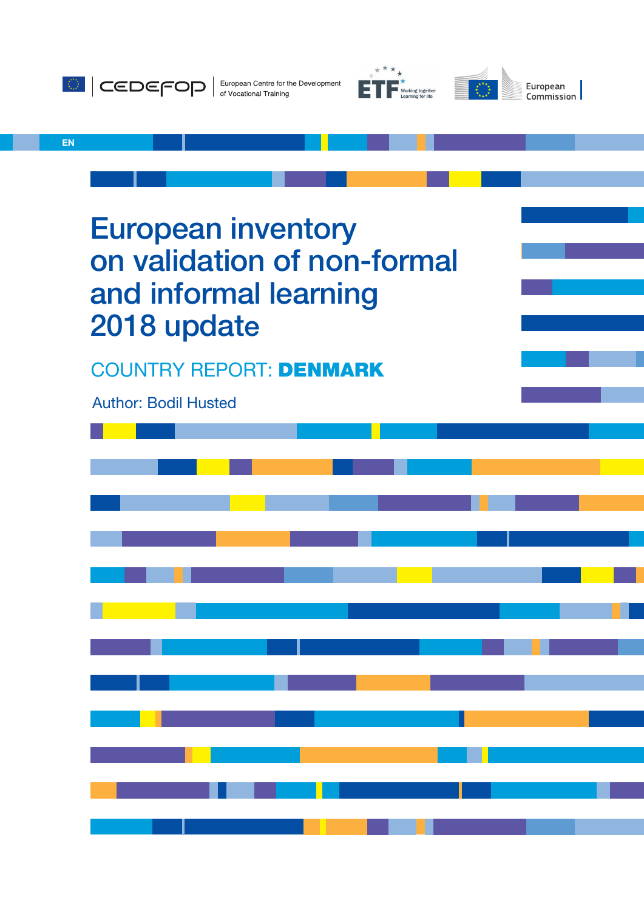





EN

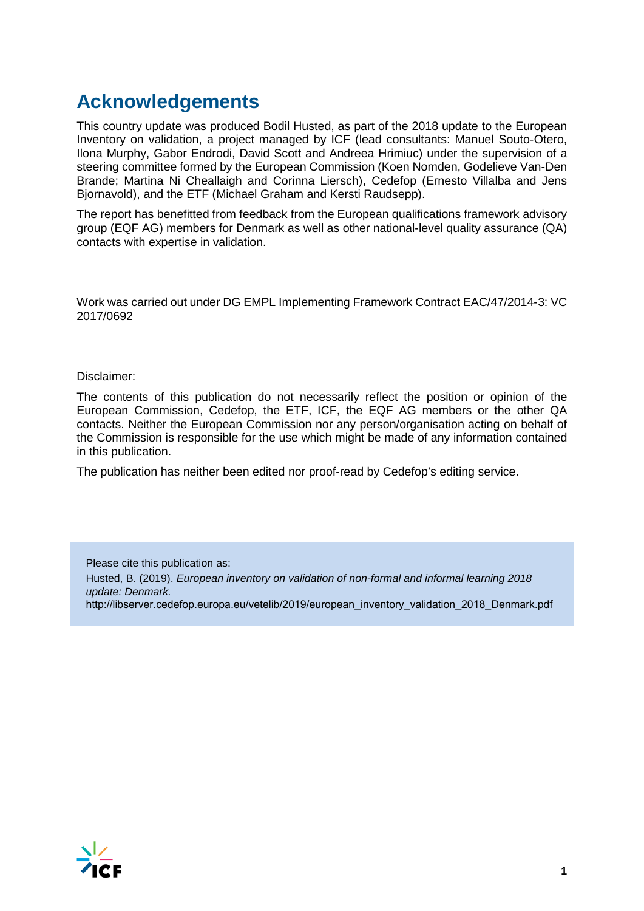# **Acknowledgements**

This country update was produced Bodil Husted, as part of the 2018 update to the European Inventory on validation, a project managed by ICF (lead consultants: Manuel Souto-Otero, Ilona Murphy, Gabor Endrodi, David Scott and Andreea Hrimiuc) under the supervision of a steering committee formed by the European Commission (Koen Nomden, Godelieve Van-Den Brande; Martina Ni Cheallaigh and Corinna Liersch), Cedefop (Ernesto Villalba and Jens Bjornavold), and the ETF (Michael Graham and Kersti Raudsepp).

The report has benefitted from feedback from the European qualifications framework advisory group (EQF AG) members for Denmark as well as other national-level quality assurance (QA) contacts with expertise in validation.

Work was carried out under DG EMPL Implementing Framework Contract EAC/47/2014-3: VC 2017/0692

Disclaimer:

The contents of this publication do not necessarily reflect the position or opinion of the European Commission, Cedefop, the ETF, ICF, the EQF AG members or the other QA contacts. Neither the European Commission nor any person/organisation acting on behalf of the Commission is responsible for the use which might be made of any information contained in this publication.

The publication has neither been edited nor proof-read by Cedefop's editing service.

Please cite this publication as: Husted, B. (2019). *European inventory on validation of non-formal and informal learning 2018 update: Denmark.*  http://libserver.cedefop.europa.eu/vetelib/2019/european\_inventory\_validation\_2018\_Denmark.pdf

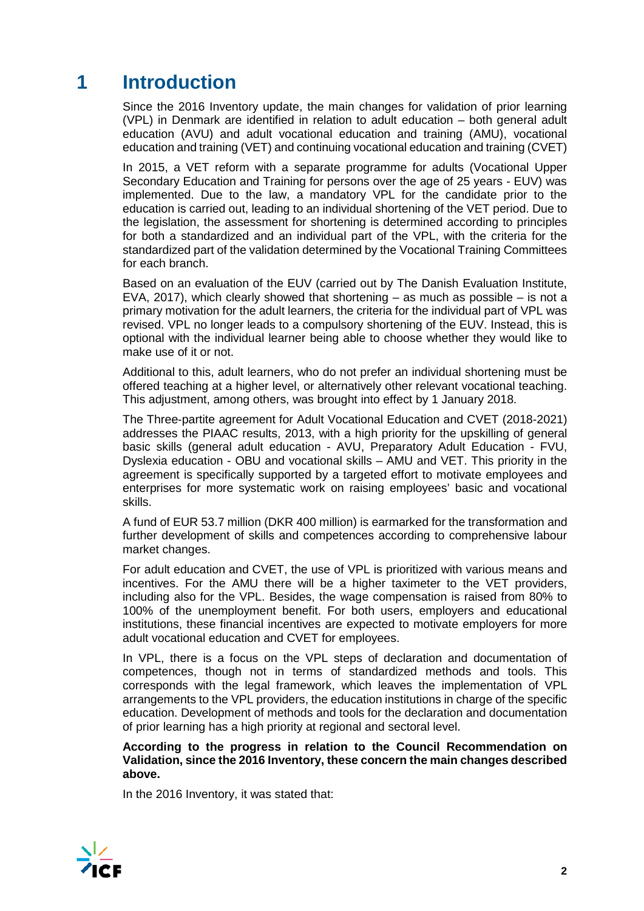# **1 Introduction**

Since the 2016 Inventory update, the main changes for validation of prior learning (VPL) in Denmark are identified in relation to adult education – both general adult education (AVU) and adult vocational education and training (AMU), vocational education and training (VET) and continuing vocational education and training (CVET)

In 2015, a VET reform with a separate programme for adults (Vocational Upper Secondary Education and Training for persons over the age of 25 years - EUV) was implemented. Due to the law, a mandatory VPL for the candidate prior to the education is carried out, leading to an individual shortening of the VET period. Due to the legislation, the assessment for shortening is determined according to principles for both a standardized and an individual part of the VPL, with the criteria for the standardized part of the validation determined by the Vocational Training Committees for each branch.

Based on an evaluation of the EUV (carried out by The Danish Evaluation Institute, EVA, 2017), which clearly showed that shortening  $-$  as much as possible  $-$  is not a primary motivation for the adult learners, the criteria for the individual part of VPL was revised. VPL no longer leads to a compulsory shortening of the EUV. Instead, this is optional with the individual learner being able to choose whether they would like to make use of it or not.

Additional to this, adult learners, who do not prefer an individual shortening must be offered teaching at a higher level, or alternatively other relevant vocational teaching. This adjustment, among others, was brought into effect by 1 January 2018.

The Three-partite agreement for Adult Vocational Education and CVET (2018-2021) addresses the PIAAC results, 2013, with a high priority for the upskilling of general basic skills (general adult education - AVU, Preparatory Adult Education - FVU, Dyslexia education - OBU and vocational skills – AMU and VET. This priority in the agreement is specifically supported by a targeted effort to motivate employees and enterprises for more systematic work on raising employees' basic and vocational skills.

A fund of EUR 53.7 million (DKR 400 million) is earmarked for the transformation and further development of skills and competences according to comprehensive labour market changes.

For adult education and CVET, the use of VPL is prioritized with various means and incentives. For the AMU there will be a higher taximeter to the VET providers, including also for the VPL. Besides, the wage compensation is raised from 80% to 100% of the unemployment benefit. For both users, employers and educational institutions, these financial incentives are expected to motivate employers for more adult vocational education and CVET for employees.

In VPL, there is a focus on the VPL steps of declaration and documentation of competences, though not in terms of standardized methods and tools. This corresponds with the legal framework, which leaves the implementation of VPL arrangements to the VPL providers, the education institutions in charge of the specific education. Development of methods and tools for the declaration and documentation of prior learning has a high priority at regional and sectoral level.

**According to the progress in relation to the Council Recommendation on Validation, since the 2016 Inventory, these concern the main changes described above.** 

In the 2016 Inventory, it was stated that:

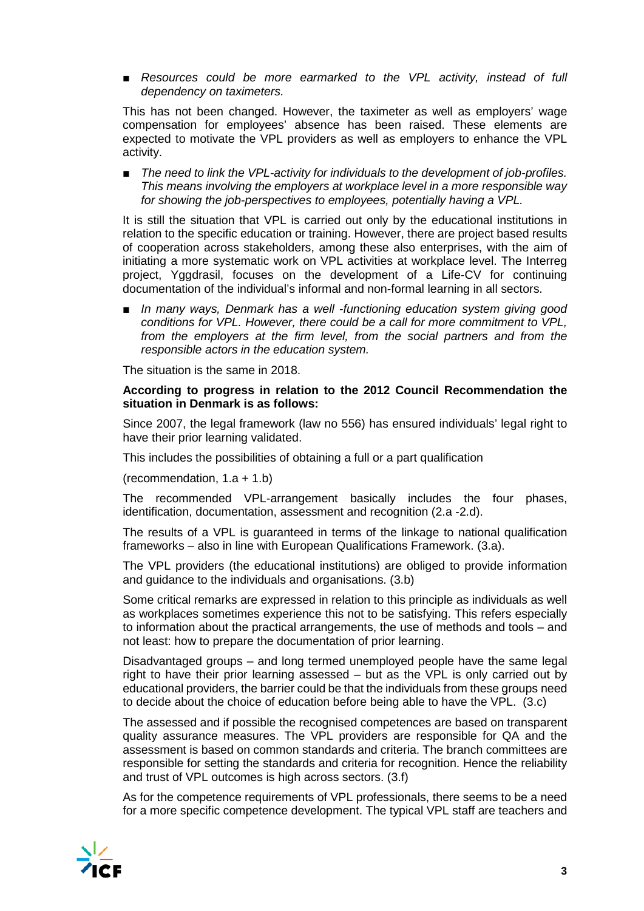■ *Resources could be more earmarked to the VPL activity, instead of full dependency on taximeters.*

This has not been changed. However, the taximeter as well as employers' wage compensation for employees' absence has been raised. These elements are expected to motivate the VPL providers as well as employers to enhance the VPL activity.

The need to link the VPL-activity for individuals to the development of job-profiles. *This means involving the employers at workplace level in a more responsible way for showing the job-perspectives to employees, potentially having a VPL.*

It is still the situation that VPL is carried out only by the educational institutions in relation to the specific education or training. However, there are project based results of cooperation across stakeholders, among these also enterprises, with the aim of initiating a more systematic work on VPL activities at workplace level. The Interreg project, Yggdrasil, focuses on the development of a Life-CV for continuing documentation of the individual's informal and non-formal learning in all sectors.

■ *In many ways, Denmark has a well -functioning education system giving good conditions for VPL. However, there could be a call for more commitment to VPL, from the employers at the firm level, from the social partners and from the responsible actors in the education system.*

The situation is the same in 2018.

#### **According to progress in relation to the 2012 Council Recommendation the situation in Denmark is as follows:**

Since 2007, the legal framework (law no 556) has ensured individuals' legal right to have their prior learning validated.

This includes the possibilities of obtaining a full or a part qualification

(recommendation, 1.a + 1.b)

The recommended VPL-arrangement basically includes the four phases, identification, documentation, assessment and recognition (2.a -2.d).

The results of a VPL is guaranteed in terms of the linkage to national qualification frameworks – also in line with European Qualifications Framework. (3.a).

The VPL providers (the educational institutions) are obliged to provide information and guidance to the individuals and organisations. (3.b)

Some critical remarks are expressed in relation to this principle as individuals as well as workplaces sometimes experience this not to be satisfying. This refers especially to information about the practical arrangements, the use of methods and tools – and not least: how to prepare the documentation of prior learning.

Disadvantaged groups – and long termed unemployed people have the same legal right to have their prior learning assessed – but as the VPL is only carried out by educational providers, the barrier could be that the individuals from these groups need to decide about the choice of education before being able to have the VPL. (3.c)

The assessed and if possible the recognised competences are based on transparent quality assurance measures. The VPL providers are responsible for QA and the assessment is based on common standards and criteria. The branch committees are responsible for setting the standards and criteria for recognition. Hence the reliability and trust of VPL outcomes is high across sectors. (3.f)

As for the competence requirements of VPL professionals, there seems to be a need for a more specific competence development. The typical VPL staff are teachers and

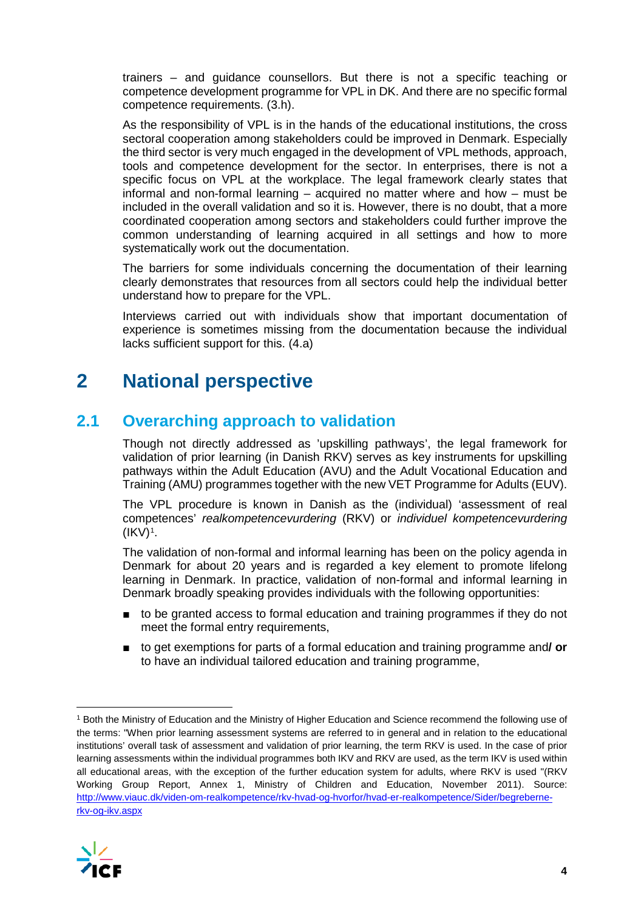trainers – and guidance counsellors. But there is not a specific teaching or competence development programme for VPL in DK. And there are no specific formal competence requirements. (3.h).

As the responsibility of VPL is in the hands of the educational institutions, the cross sectoral cooperation among stakeholders could be improved in Denmark. Especially the third sector is very much engaged in the development of VPL methods, approach, tools and competence development for the sector. In enterprises, there is not a specific focus on VPL at the workplace. The legal framework clearly states that informal and non-formal learning – acquired no matter where and how – must be included in the overall validation and so it is. However, there is no doubt, that a more coordinated cooperation among sectors and stakeholders could further improve the common understanding of learning acquired in all settings and how to more systematically work out the documentation.

The barriers for some individuals concerning the documentation of their learning clearly demonstrates that resources from all sectors could help the individual better understand how to prepare for the VPL.

Interviews carried out with individuals show that important documentation of experience is sometimes missing from the documentation because the individual lacks sufficient support for this. (4.a)

# **2 National perspective**

## **2.1 Overarching approach to validation**

Though not directly addressed as 'upskilling pathways', the legal framework for validation of prior learning (in Danish RKV) serves as key instruments for upskilling pathways within the Adult Education (AVU) and the Adult Vocational Education and Training (AMU) programmes together with the new VET Programme for Adults (EUV).

The VPL procedure is known in Danish as the (individual) 'assessment of real competences' *realkompetencevurdering* (RKV) or *individuel kompetencevurdering*  $(IKV)^1$ .

The validation of non-formal and informal learning has been on the policy agenda in Denmark for about 20 years and is regarded a key element to promote lifelong learning in Denmark. In practice, validation of non-formal and informal learning in Denmark broadly speaking provides individuals with the following opportunities:

- to be granted access to formal education and training programmes if they do not meet the formal entry requirements,
- to get exemptions for parts of a formal education and training programme and**/ or** to have an individual tailored education and training programme,

<span id="page-4-0"></span> <sup>1</sup> Both the Ministry of Education and the Ministry of Higher Education and Science recommend the following use of the terms: "When prior learning assessment systems are referred to in general and in relation to the educational institutions' overall task of assessment and validation of prior learning, the term RKV is used. In the case of prior learning assessments within the individual programmes both IKV and RKV are used, as the term IKV is used within all educational areas, with the exception of the further education system for adults, where RKV is used "(RKV Working Group Report, Annex 1, Ministry of Children and Education, November 2011). Source: [http://www.viauc.dk/viden-om-realkompetence/rkv-hvad-og-hvorfor/hvad-er-realkompetence/Sider/begreberne](http://www.viauc.dk/viden-om-realkompetence/rkv-hvad-og-hvorfor/hvad-er-realkompetence/Sider/begreberne-rkv-og-ikv.aspx)[rkv-og-ikv.aspx](http://www.viauc.dk/viden-om-realkompetence/rkv-hvad-og-hvorfor/hvad-er-realkompetence/Sider/begreberne-rkv-og-ikv.aspx)

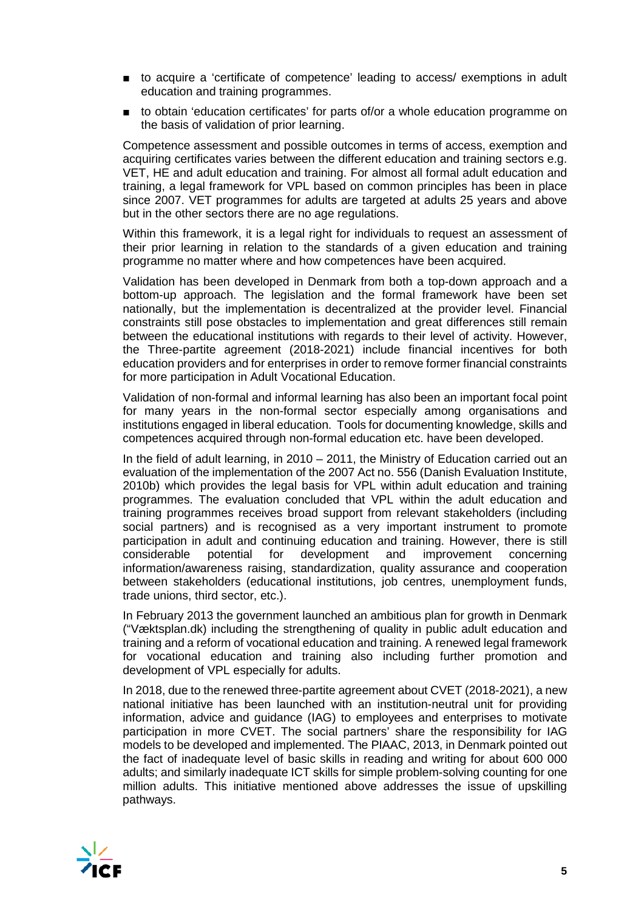- to acquire a 'certificate of competence' leading to access/ exemptions in adult education and training programmes.
- to obtain 'education certificates' for parts of/or a whole education programme on the basis of validation of prior learning.

Competence assessment and possible outcomes in terms of access, exemption and acquiring certificates varies between the different education and training sectors e.g. VET, HE and adult education and training. For almost all formal adult education and training, a legal framework for VPL based on common principles has been in place since 2007. VET programmes for adults are targeted at adults 25 years and above but in the other sectors there are no age regulations.

Within this framework, it is a legal right for individuals to request an assessment of their prior learning in relation to the standards of a given education and training programme no matter where and how competences have been acquired.

Validation has been developed in Denmark from both a top-down approach and a bottom-up approach. The legislation and the formal framework have been set nationally, but the implementation is decentralized at the provider level. Financial constraints still pose obstacles to implementation and great differences still remain between the educational institutions with regards to their level of activity. However, the Three-partite agreement (2018-2021) include financial incentives for both education providers and for enterprises in order to remove former financial constraints for more participation in Adult Vocational Education.

Validation of non-formal and informal learning has also been an important focal point for many years in the non-formal sector especially among organisations and institutions engaged in liberal education. Tools for documenting knowledge, skills and competences acquired through non-formal education etc. have been developed.

In the field of adult learning, in 2010 – 2011, the Ministry of Education carried out an evaluation of the implementation of the 2007 Act no. 556 (Danish Evaluation Institute, 2010b) which provides the legal basis for VPL within adult education and training programmes. The evaluation concluded that VPL within the adult education and training programmes receives broad support from relevant stakeholders (including social partners) and is recognised as a very important instrument to promote participation in adult and continuing education and training. However, there is still considerable potential for development and improvement concerning considerable potential for development and improvement concerning information/awareness raising, standardization, quality assurance and cooperation between stakeholders (educational institutions, job centres, unemployment funds, trade unions, third sector, etc.).

In February 2013 the government launched an ambitious plan for growth in Denmark ("Væktsplan.dk) including the strengthening of quality in public adult education and training and a reform of vocational education and training. A renewed legal framework for vocational education and training also including further promotion and development of VPL especially for adults.

In 2018, due to the renewed three-partite agreement about CVET (2018-2021), a new national initiative has been launched with an institution-neutral unit for providing information, advice and guidance (IAG) to employees and enterprises to motivate participation in more CVET. The social partners' share the responsibility for IAG models to be developed and implemented. The PIAAC, 2013, in Denmark pointed out the fact of inadequate level of basic skills in reading and writing for about 600 000 adults; and similarly inadequate ICT skills for simple problem-solving counting for one million adults. This initiative mentioned above addresses the issue of upskilling pathways.

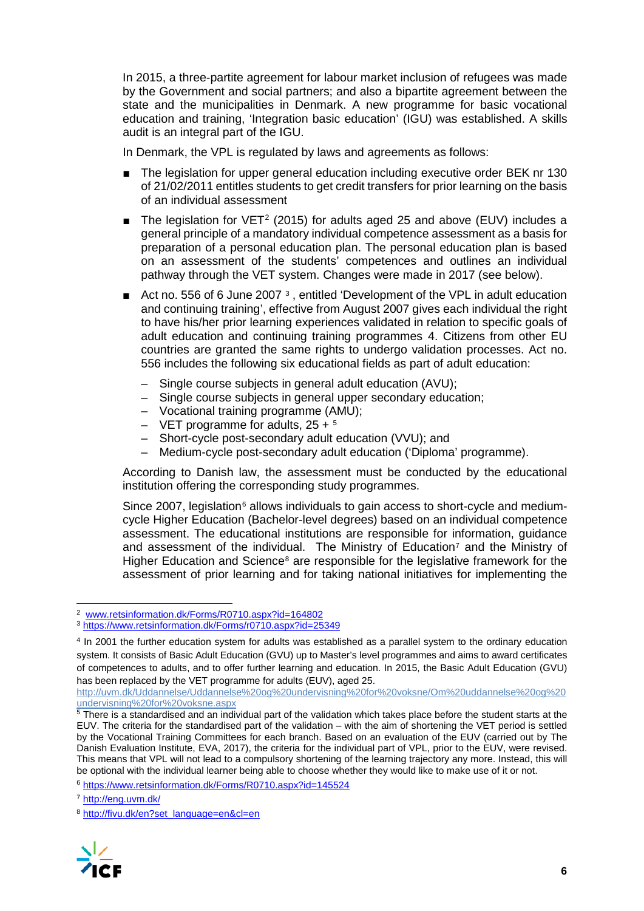In 2015, a three-partite agreement for labour market inclusion of refugees was made by the Government and social partners; and also a bipartite agreement between the state and the municipalities in Denmark. A new programme for basic vocational education and training, 'Integration basic education' (IGU) was established. A skills audit is an integral part of the IGU.

In Denmark, the VPL is regulated by laws and agreements as follows:

- The legislation for upper general education including executive order BEK nr 130 of 21/02/2011 entitles students to get credit transfers for prior learning on the basis of an individual assessment
- The legislation for VET<sup>[2](#page-6-0)</sup> (2015) for adults aged 25 and above (EUV) includes a general principle of a mandatory individual competence assessment as a basis for preparation of a personal education plan. The personal education plan is based on an assessment of the students' competences and outlines an individual pathway through the VET system. Changes were made in 2017 (see below).
- Act no. 556 of 6 June 2007<sup>[3](#page-6-1)</sup>, entitled 'Development of the VPL in adult education and continuing training', effective from August 2007 gives each individual the right to have his/her prior learning experiences validated in relation to specific goals of adult education and continuing training programmes [4](#page-6-2). Citizens from other EU countries are granted the same rights to undergo validation processes. Act no. 556 includes the following six educational fields as part of adult education:
	- Single course subjects in general adult education (AVU);
	- Single course subjects in general upper secondary education;
	- Vocational training programme (AMU);
	- VET programme for adults,  $25 + 5$  $25 + 5$  $25 + 5$
	- Short-cycle post-secondary adult education (VVU); and
	- Medium-cycle post-secondary adult education ('Diploma' programme).

According to Danish law, the assessment must be conducted by the educational institution offering the corresponding study programmes.

Since 2007, legislation<sup> $6$ </sup> allows individuals to gain access to short-cycle and mediumcycle Higher Education (Bachelor-level degrees) based on an individual competence assessment. The educational institutions are responsible for information, guidance and assessment of the individual. The Ministry of Education<sup>7</sup> and the Ministry of Higher Education and Science<sup>[8](#page-6-6)</sup> are responsible for the legislative framework for the assessment of prior learning and for taking national initiatives for implementing the

<span id="page-6-6"></span><span id="page-6-5"></span><sup>8</sup> [http://fivu.dk/en?set\\_language=en&cl=en](http://fivu.dk/en?set_language=en&cl=en)



<span id="page-6-0"></span> <sup>2</sup> [www.retsinformation.dk/Forms/R0710.aspx?id=164802](http://www.retsinformation.dk/Forms/R0710.aspx?id=164802)

<span id="page-6-1"></span><sup>3</sup> <https://www.retsinformation.dk/Forms/r0710.aspx?id=25349>

<span id="page-6-2"></span><sup>4</sup> In 2001 the further education system for adults was established as a parallel system to the ordinary education system. It consists of Basic Adult Education (GVU) up to Master's level programmes and aims to award certificates of competences to adults, and to offer further learning and education. In 2015, the Basic Adult Education (GVU) has been replaced by the VET programme for adults (EUV), aged 25.

[http://uvm.dk/Uddannelse/Uddannelse%20og%20undervisning%20for%20voksne/Om%20uddannelse%20og%20](http://uvm.dk/Uddannelse/Uddannelse%20og%20undervisning%20for%20voksne/Om%20uddannelse%20og%20undervisning%20for%20voksne.aspx)

<span id="page-6-3"></span> $5$  There is a standardised and an individual part of the validation which takes place before the student starts at the EUV. The criteria for the standardised part of the validation – with the aim of shortening the VET period is settled by the Vocational Training Committees for each branch. Based on an evaluation of the EUV (carried out by The Danish Evaluation Institute, EVA, 2017), the criteria for the individual part of VPL, prior to the EUV, were revised. This means that VPL will not lead to a compulsory shortening of the learning trajectory any more. Instead, this will be optional with the individual learner being able to choose whether they would like to make use of it or not.

<span id="page-6-4"></span><sup>6</sup> <https://www.retsinformation.dk/Forms/R0710.aspx?id=145524>

<sup>7</sup> <http://eng.uvm.dk/>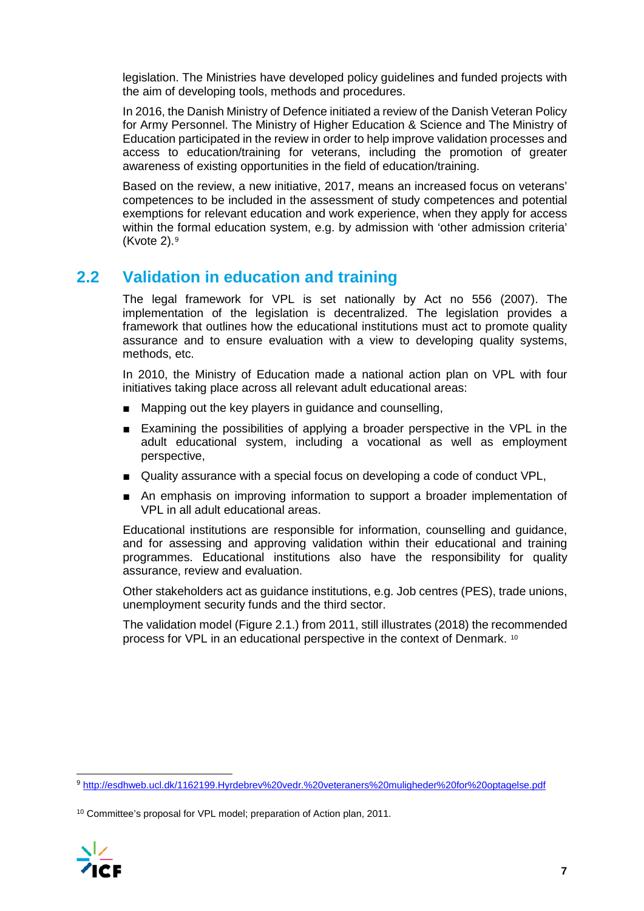legislation. The Ministries have developed policy guidelines and funded projects with the aim of developing tools, methods and procedures.

In 2016, the Danish Ministry of Defence initiated a review of the Danish Veteran Policy for Army Personnel. The Ministry of Higher Education & Science and The Ministry of Education participated in the review in order to help improve validation processes and access to education/training for veterans, including the promotion of greater awareness of existing opportunities in the field of education/training.

Based on the review, a new initiative, 2017, means an increased focus on veterans' competences to be included in the assessment of study competences and potential exemptions for relevant education and work experience, when they apply for access within the formal education system, e.g. by admission with 'other admission criteria' (Kvote  $2$ ).<sup>[9](#page-7-0)</sup>

### **2.2 Validation in education and training**

The legal framework for VPL is set nationally by Act no 556 (2007). The implementation of the legislation is decentralized. The legislation provides a framework that outlines how the educational institutions must act to promote quality assurance and to ensure evaluation with a view to developing quality systems, methods, etc.

In 2010, the Ministry of Education made a national action plan on VPL with four initiatives taking place across all relevant adult educational areas:

- Mapping out the key players in guidance and counselling,
- Examining the possibilities of applying a broader perspective in the VPL in the adult educational system, including a vocational as well as employment perspective,
- Quality assurance with a special focus on developing a code of conduct VPL,
- An emphasis on improving information to support a broader implementation of VPL in all adult educational areas.

Educational institutions are responsible for information, counselling and guidance, and for assessing and approving validation within their educational and training programmes. Educational institutions also have the responsibility for quality assurance, review and evaluation.

Other stakeholders act as guidance institutions, e.g. Job centres (PES), trade unions, unemployment security funds and the third sector.

The validation model (Figure 2.1.) from 2011, still illustrates (2018) the recommended process for VPL in an educational perspective in the context of Denmark. [10](#page-7-1)

<span id="page-7-1"></span><sup>10</sup> Committee's proposal for VPL model; preparation of Action plan, 2011.



<span id="page-7-0"></span> <sup>9</sup> <http://esdhweb.ucl.dk/1162199.Hyrdebrev%20vedr.%20veteraners%20muligheder%20for%20optagelse.pdf>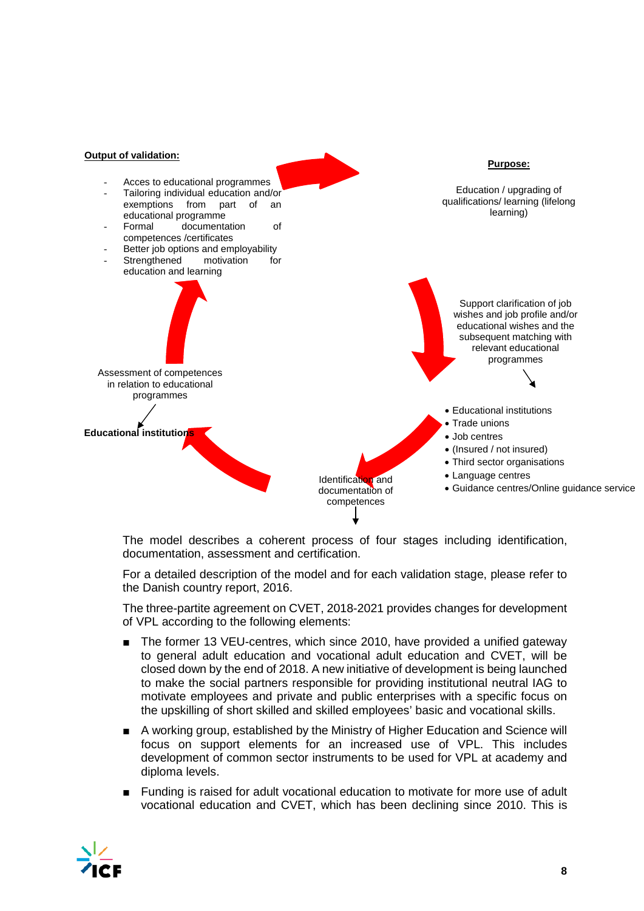

The model describes a coherent process of four stages including identification, documentation, assessment and certification.

For a detailed description of the model and for each validation stage, please refer to the Danish country report, 2016.

The three-partite agreement on CVET, 2018-2021 provides changes for development of VPL according to the following elements:

- The former 13 VEU-centres, which since 2010, have provided a unified gateway to general adult education and vocational adult education and CVET, will be closed down by the end of 2018. A new initiative of development is being launched to make the social partners responsible for providing institutional neutral IAG to motivate employees and private and public enterprises with a specific focus on the upskilling of short skilled and skilled employees' basic and vocational skills.
- A working group, established by the Ministry of Higher Education and Science will focus on support elements for an increased use of VPL. This includes development of common sector instruments to be used for VPL at academy and diploma levels.
- Funding is raised for adult vocational education to motivate for more use of adult vocational education and CVET, which has been declining since 2010. This is

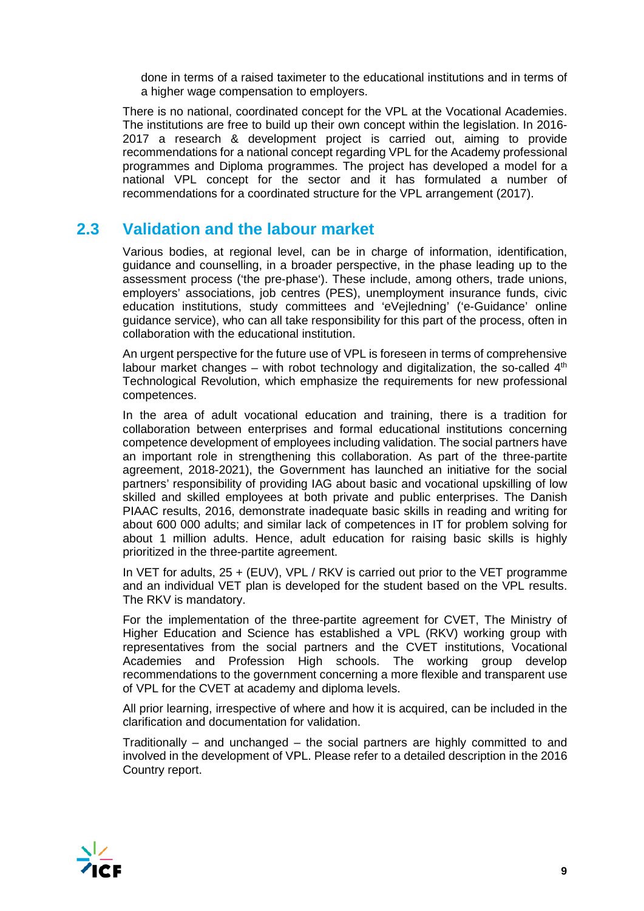done in terms of a raised taximeter to the educational institutions and in terms of a higher wage compensation to employers.

There is no national, coordinated concept for the VPL at the Vocational Academies. The institutions are free to build up their own concept within the legislation. In 2016- 2017 a research & development project is carried out, aiming to provide recommendations for a national concept regarding VPL for the Academy professional programmes and Diploma programmes. The project has developed a model for a national VPL concept for the sector and it has formulated a number of recommendations for a coordinated structure for the VPL arrangement (2017).

### **2.3 Validation and the labour market**

Various bodies, at regional level, can be in charge of information, identification, guidance and counselling, in a broader perspective, in the phase leading up to the assessment process ('the pre-phase'). These include, among others, trade unions, employers' associations, job centres (PES), unemployment insurance funds, civic education institutions, study committees and 'eVejledning' ('e-Guidance' online guidance service), who can all take responsibility for this part of the process, often in collaboration with the educational institution.

An urgent perspective for the future use of VPL is foreseen in terms of comprehensive labour market changes – with robot technology and digitalization, the so-called  $4<sup>th</sup>$ Technological Revolution, which emphasize the requirements for new professional competences.

In the area of adult vocational education and training, there is a tradition for collaboration between enterprises and formal educational institutions concerning competence development of employees including validation. The social partners have an important role in strengthening this collaboration. As part of the three-partite agreement, 2018-2021), the Government has launched an initiative for the social partners' responsibility of providing IAG about basic and vocational upskilling of low skilled and skilled employees at both private and public enterprises. The Danish PIAAC results, 2016, demonstrate inadequate basic skills in reading and writing for about 600 000 adults; and similar lack of competences in IT for problem solving for about 1 million adults. Hence, adult education for raising basic skills is highly prioritized in the three-partite agreement.

In VET for adults, 25 + (EUV), VPL / RKV is carried out prior to the VET programme and an individual VET plan is developed for the student based on the VPL results. The RKV is mandatory.

For the implementation of the three-partite agreement for CVET, The Ministry of Higher Education and Science has established a VPL (RKV) working group with representatives from the social partners and the CVET institutions, Vocational Academies and Profession High schools. The working group develop recommendations to the government concerning a more flexible and transparent use of VPL for the CVET at academy and diploma levels.

All prior learning, irrespective of where and how it is acquired, can be included in the clarification and documentation for validation.

Traditionally – and unchanged – the social partners are highly committed to and involved in the development of VPL. Please refer to a detailed description in the 2016 Country report.

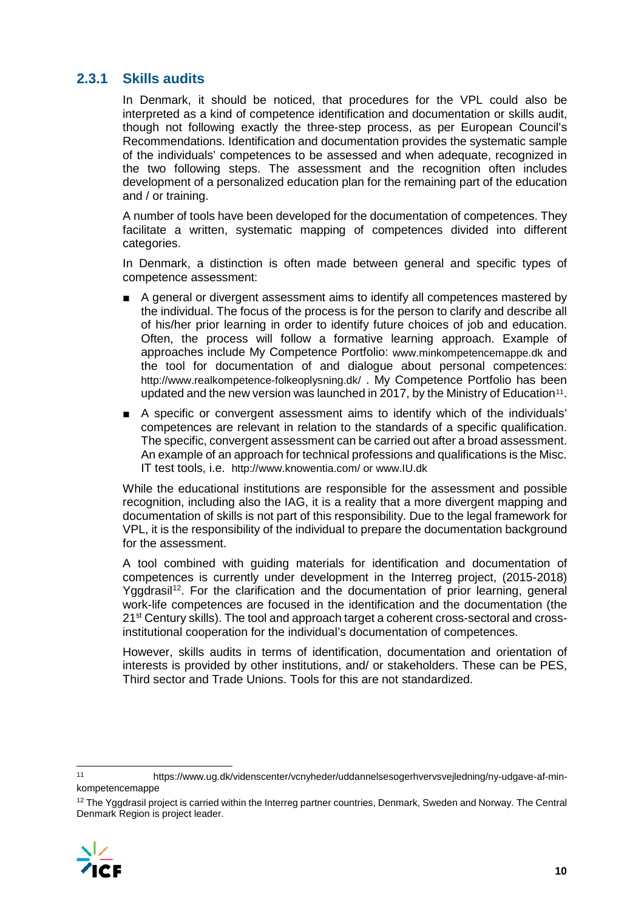### **2.3.1 Skills audits**

In Denmark, it should be noticed, that procedures for the VPL could also be interpreted as a kind of competence identification and documentation or skills audit, though not following exactly the three-step process, as per European Council's Recommendations. Identification and documentation provides the systematic sample of the individuals' competences to be assessed and when adequate, recognized in the two following steps. The assessment and the recognition often includes development of a personalized education plan for the remaining part of the education and / or training.

A number of tools have been developed for the documentation of competences. They facilitate a written, systematic mapping of competences divided into different categories.

In Denmark, a distinction is often made between general and specific types of competence assessment:

- A general or divergent assessment aims to identify all competences mastered by the individual. The focus of the process is for the person to clarify and describe all of his/her prior learning in order to identify future choices of job and education. Often, the process will follow a formative learning approach. Example of approaches include My Competence Portfolio: [www.minkompetencemappe.dk](http://www.minkompetencemappe.dk/) and the tool for documentation of and dialogue about personal competences: <http://www.realkompetence-folkeoplysning.dk/> . My Competence Portfolio has been updated and the new version was launched in 2017, by the Ministry of Education<sup>[11](#page-10-0)</sup>.
- A specific or convergent assessment aims to identify which of the individuals' competences are relevant in relation to the standards of a specific qualification. The specific, convergent assessment can be carried out after a broad assessment. An example of an approach for technical professions and qualifications is the Misc. IT test tools, i.e. <http://www.knowentia.com/> or www.IU.dk

While the educational institutions are responsible for the assessment and possible recognition, including also the IAG, it is a reality that a more divergent mapping and documentation of skills is not part of this responsibility. Due to the legal framework for VPL, it is the responsibility of the individual to prepare the documentation background for the assessment.

A tool combined with guiding materials for identification and documentation of competences is currently under development in the Interreg project, (2015-2018) Yggdrasil<sup>12</sup>. For the clarification and the documentation of prior learning, general work-life competences are focused in the identification and the documentation (the 21<sup>st</sup> Century skills). The tool and approach target a coherent cross-sectoral and crossinstitutional cooperation for the individual's documentation of competences.

However, skills audits in terms of identification, documentation and orientation of interests is provided by other institutions, and/ or stakeholders. These can be PES, Third sector and Trade Unions. Tools for this are not standardized.

<span id="page-10-1"></span><sup>&</sup>lt;sup>12</sup> The Yggdrasil project is carried within the Interreg partner countries, Denmark, Sweden and Norway. The Central Denmark Region is project leader.



<span id="page-10-0"></span> <sup>11</sup> https://www.ug.dk/videnscenter/vcnyheder/uddannelsesogerhvervsvejledning/ny-udgave-af-minkompetencemappe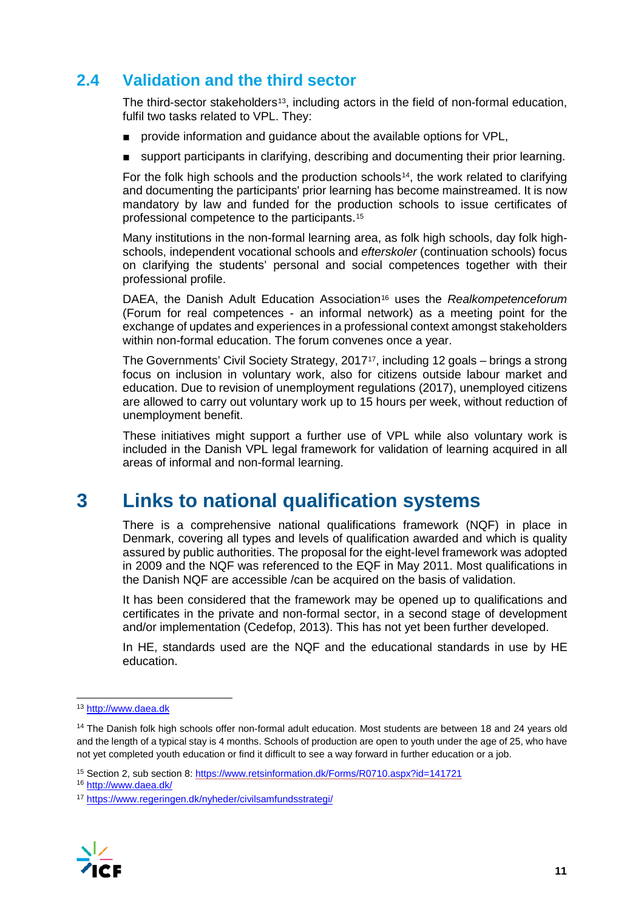## **2.4 Validation and the third sector**

The third-sector stakeholders<sup>[13](#page-11-0)</sup>, including actors in the field of non-formal education, fulfil two tasks related to VPL. They:

- provide information and quidance about the available options for VPL,
- support participants in clarifying, describing and documenting their prior learning.

For the folk high schools and the production schools<sup>14</sup>, the work related to clarifying and documenting the participants' prior learning has become mainstreamed. It is now mandatory by law and funded for the production schools to issue certificates of professional competence to the participants.[15](#page-11-2)

Many institutions in the non-formal learning area, as folk high schools, day folk highschools, independent vocational schools and *efterskoler* (continuation schools) focus on clarifying the students' personal and social competences together with their professional profile.

DAEA, the Danish Adult Education Association<sup>[16](#page-11-3)</sup> uses the *Realkompetenceforum* (Forum for real competences - an informal network) as a meeting point for the exchange of updates and experiences in a professional context amongst stakeholders within non-formal education. The forum convenes once a year.

The Governments' Civil Society Strategy, 201[717,](#page-11-4) including 12 goals – brings a strong focus on inclusion in voluntary work, also for citizens outside labour market and education. Due to revision of unemployment regulations (2017), unemployed citizens are allowed to carry out voluntary work up to 15 hours per week, without reduction of unemployment benefit.

These initiatives might support a further use of VPL while also voluntary work is included in the Danish VPL legal framework for validation of learning acquired in all areas of informal and non-formal learning.

## **3 Links to national qualification systems**

There is a comprehensive national qualifications framework (NQF) in place in Denmark, covering all types and levels of qualification awarded and which is quality assured by public authorities. The proposal for the eight-level framework was adopted in 2009 and the NQF was referenced to the EQF in May 2011. Most qualifications in the Danish NQF are accessible /can be acquired on the basis of validation.

It has been considered that the framework may be opened up to qualifications and certificates in the private and non-formal sector, in a second stage of development and/or implementation (Cedefop, 2013). This has not yet been further developed.

In HE, standards used are the NQF and the educational standards in use by HE education.

<span id="page-11-4"></span><span id="page-11-3"></span><sup>17</sup> <https://www.regeringen.dk/nyheder/civilsamfundsstrategi/>



<span id="page-11-0"></span> <sup>13</sup> [http://www.daea.dk](http://www.daea.dk/)

<span id="page-11-1"></span><sup>&</sup>lt;sup>14</sup> The Danish folk high schools offer non-formal adult education. Most students are between 18 and 24 years old and the length of a typical stay is 4 months. Schools of production are open to youth under the age of 25, who have not yet completed youth education or find it difficult to see a way forward in further education or a job.

<span id="page-11-2"></span><sup>15</sup> Section 2, sub section 8[: https://www.retsinformation.dk/Forms/R0710.aspx?id=141721](https://www.retsinformation.dk/Forms/R0710.aspx?id=141721)

<sup>16</sup> <http://www.daea.dk/>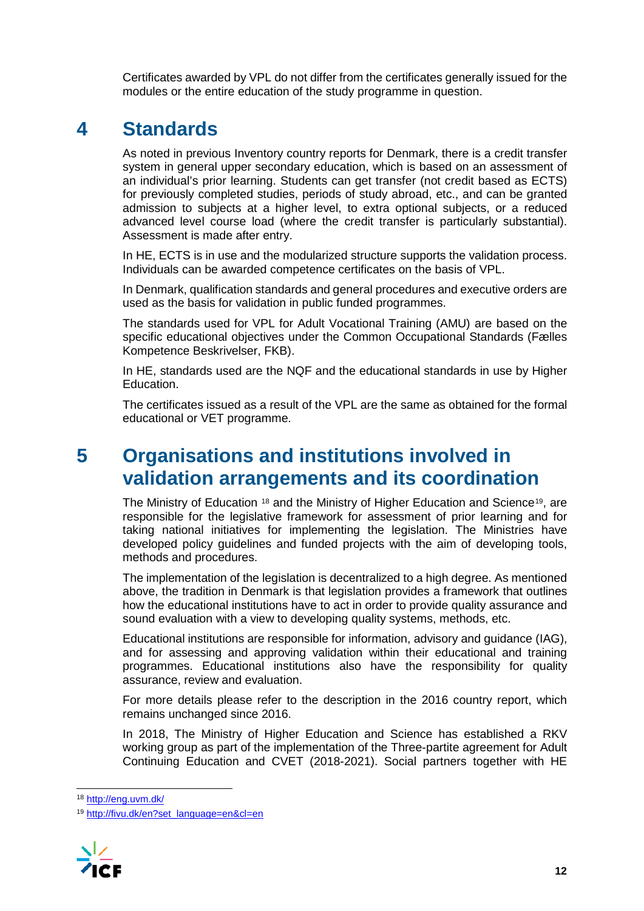Certificates awarded by VPL do not differ from the certificates generally issued for the modules or the entire education of the study programme in question.

## **4 Standards**

As noted in previous Inventory country reports for Denmark, there is a credit transfer system in general upper secondary education, which is based on an assessment of an individual's prior learning. Students can get transfer (not credit based as ECTS) for previously completed studies, periods of study abroad, etc., and can be granted admission to subjects at a higher level, to extra optional subjects, or a reduced advanced level course load (where the credit transfer is particularly substantial). Assessment is made after entry.

In HE, ECTS is in use and the modularized structure supports the validation process. Individuals can be awarded competence certificates on the basis of VPL.

In Denmark, qualification standards and general procedures and executive orders are used as the basis for validation in public funded programmes.

The standards used for VPL for Adult Vocational Training (AMU) are based on the specific educational objectives under the Common Occupational Standards (Fælles Kompetence Beskrivelser, FKB).

In HE, standards used are the NQF and the educational standards in use by Higher Education.

The certificates issued as a result of the VPL are the same as obtained for the formal educational or VET programme.

## **5 Organisations and institutions involved in validation arrangements and its coordination**

The Ministry of Education <sup>[18](#page-12-0)</sup> and the Ministry of Higher Education and Science<sup>[19](#page-12-1)</sup>, are responsible for the legislative framework for assessment of prior learning and for taking national initiatives for implementing the legislation. The Ministries have developed policy guidelines and funded projects with the aim of developing tools, methods and procedures.

The implementation of the legislation is decentralized to a high degree. As mentioned above, the tradition in Denmark is that legislation provides a framework that outlines how the educational institutions have to act in order to provide quality assurance and sound evaluation with a view to developing quality systems, methods, etc.

Educational institutions are responsible for information, advisory and guidance (IAG), and for assessing and approving validation within their educational and training programmes. Educational institutions also have the responsibility for quality assurance, review and evaluation.

For more details please refer to the description in the 2016 country report, which remains unchanged since 2016.

In 2018, The Ministry of Higher Education and Science has established a RKV working group as part of the implementation of the Three-partite agreement for Adult Continuing Education and CVET (2018-2021). Social partners together with HE

<span id="page-12-1"></span><span id="page-12-0"></span><sup>19</sup> [http://fivu.dk/en?set\\_language=en&cl=en](http://fivu.dk/en?set_language=en&cl=en)



 <sup>18</sup> <http://eng.uvm.dk/>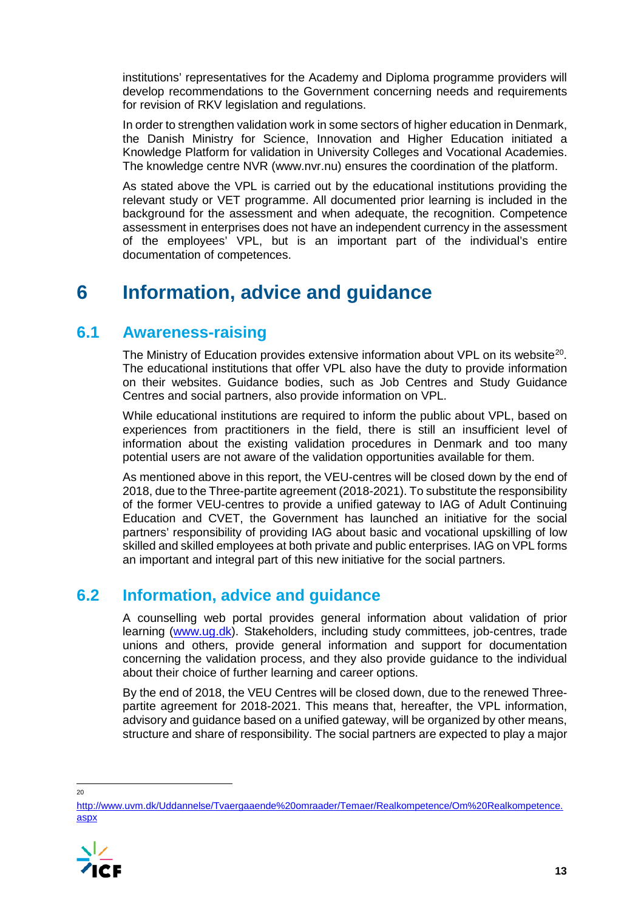institutions' representatives for the Academy and Diploma programme providers will develop recommendations to the Government concerning needs and requirements for revision of RKV legislation and regulations.

In order to strengthen validation work in some sectors of higher education in Denmark, the Danish Ministry for Science, Innovation and Higher Education initiated a Knowledge Platform for validation in University Colleges and Vocational Academies. The knowledge centre NVR (www.nvr.nu) ensures the coordination of the platform.

As stated above the VPL is carried out by the educational institutions providing the relevant study or VET programme. All documented prior learning is included in the background for the assessment and when adequate, the recognition. Competence assessment in enterprises does not have an independent currency in the assessment of the employees' VPL, but is an important part of the individual's entire documentation of competences.

## **6 Information, advice and guidance**

## **6.1 Awareness-raising**

The Ministry of Education provides extensive information about VPL on its website<sup>[20](#page-13-0)</sup>. The educational institutions that offer VPL also have the duty to provide information on their websites. Guidance bodies, such as Job Centres and Study Guidance Centres and social partners, also provide information on VPL.

While educational institutions are required to inform the public about VPL, based on experiences from practitioners in the field, there is still an insufficient level of information about the existing validation procedures in Denmark and too many potential users are not aware of the validation opportunities available for them.

As mentioned above in this report, the VEU-centres will be closed down by the end of 2018, due to the Three-partite agreement (2018-2021). To substitute the responsibility of the former VEU-centres to provide a unified gateway to IAG of Adult Continuing Education and CVET, the Government has launched an initiative for the social partners' responsibility of providing IAG about basic and vocational upskilling of low skilled and skilled employees at both private and public enterprises. IAG on VPL forms an important and integral part of this new initiative for the social partners.

## **6.2 Information, advice and guidance**

A counselling web portal provides general information about validation of prior learning [\(www.ug.dk\)](http://www.ug.dk/). Stakeholders, including study committees, job-centres, trade unions and others, provide general information and support for documentation concerning the validation process, and they also provide guidance to the individual about their choice of further learning and career options.

By the end of 2018, the VEU Centres will be closed down, due to the renewed Threepartite agreement for 2018-2021. This means that, hereafter, the VPL information, advisory and guidance based on a unified gateway, will be organized by other means, structure and share of responsibility. The social partners are expected to play a major

 $20$ 

<span id="page-13-0"></span>[http://www.uvm.dk/Uddannelse/Tvaergaaende%20omraader/Temaer/Realkompetence/Om%20Realkompetence.](http://www.uvm.dk/Uddannelse/Tvaergaaende%20omraader/Temaer/Realkompetence/Om%20Realkompetence.aspx) [aspx](http://www.uvm.dk/Uddannelse/Tvaergaaende%20omraader/Temaer/Realkompetence/Om%20Realkompetence.aspx)

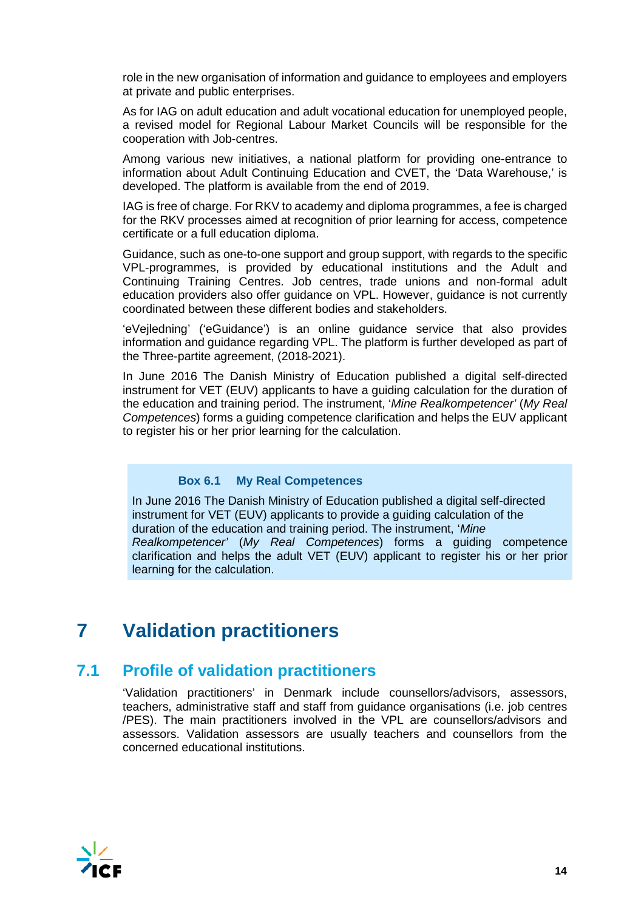role in the new organisation of information and guidance to employees and employers at private and public enterprises.

As for IAG on adult education and adult vocational education for unemployed people, a revised model for Regional Labour Market Councils will be responsible for the cooperation with Job-centres.

Among various new initiatives, a national platform for providing one-entrance to information about Adult Continuing Education and CVET, the 'Data Warehouse,' is developed. The platform is available from the end of 2019.

IAG is free of charge. For RKV to academy and diploma programmes, a fee is charged for the RKV processes aimed at recognition of prior learning for access, competence certificate or a full education diploma.

Guidance, such as one-to-one support and group support, with regards to the specific VPL-programmes, is provided by educational institutions and the Adult and Continuing Training Centres. Job centres, trade unions and non-formal adult education providers also offer guidance on VPL. However, guidance is not currently coordinated between these different bodies and stakeholders.

'eVejledning' ('eGuidance') is an online guidance service that also provides information and guidance regarding VPL. The platform is further developed as part of the Three-partite agreement, (2018-2021).

In June 2016 The Danish Ministry of Education published a digital self-directed instrument for VET (EUV) applicants to have a guiding calculation for the duration of the education and training period. The instrument, '*Mine Realkompetencer'* (*My Real Competences*) forms a guiding competence clarification and helps the EUV applicant to register his or her prior learning for the calculation.

#### **Box 6.1 My Real Competences**

In June 2016 The Danish Ministry of Education published a digital self-directed instrument for VET (EUV) applicants to provide a guiding calculation of the duration of the education and training period. The instrument, '*Mine Realkompetencer'* (*My Real Competences*) forms a guiding competence clarification and helps the adult VET (EUV) applicant to register his or her prior learning for the calculation.

## **7 Validation practitioners**

### **7.1 Profile of validation practitioners**

'Validation practitioners' in Denmark include counsellors/advisors, assessors, teachers, administrative staff and staff from guidance organisations (i.e. job centres /PES). The main practitioners involved in the VPL are counsellors/advisors and assessors. Validation assessors are usually teachers and counsellors from the concerned educational institutions.

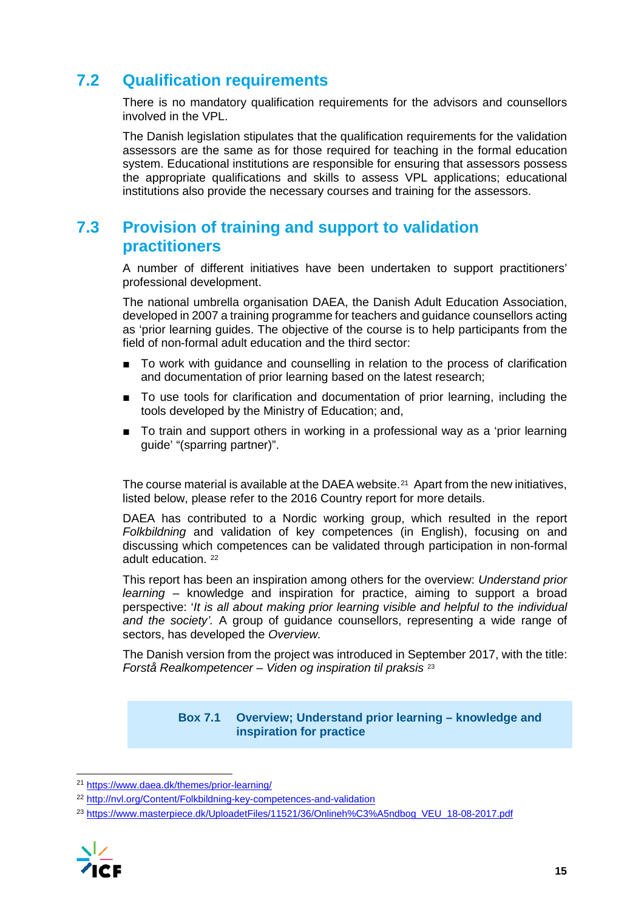## **7.2 Qualification requirements**

There is no mandatory qualification requirements for the advisors and counsellors involved in the VPL.

The Danish legislation stipulates that the qualification requirements for the validation assessors are the same as for those required for teaching in the formal education system. Educational institutions are responsible for ensuring that assessors possess the appropriate qualifications and skills to assess VPL applications; educational institutions also provide the necessary courses and training for the assessors.

## **7.3 Provision of training and support to validation practitioners**

A number of different initiatives have been undertaken to support practitioners' professional development.

The national umbrella organisation DAEA, the Danish Adult Education Association, developed in 2007 a training programme for teachers and guidance counsellors acting as 'prior learning guides. The objective of the course is to help participants from the field of non-formal adult education and the third sector:

- To work with quidance and counselling in relation to the process of clarification and documentation of prior learning based on the latest research;
- To use tools for clarification and documentation of prior learning, including the tools developed by the Ministry of Education; and,
- To train and support others in working in a professional way as a 'prior learning guide' "(sparring partner)".

The course material is available at the DAEA website.<sup>21</sup> Apart from the new initiatives, listed below, please refer to the 2016 Country report for more details.

DAEA has contributed to a Nordic working group, which resulted in the report *Folkbildning* and validation of key competences (in English), focusing on and discussing which competences can be validated through participation in non-formal adult education. [22](#page-15-1)

This report has been an inspiration among others for the overview: *Understand prior learning* – knowledge and inspiration for practice, aiming to support a broad perspective: '*It is all about making prior learning visible and helpful to the individual and the society'.* A group of guidance counsellors, representing a wide range of sectors, has developed the *Overview.*

The Danish version from the project was introduced in September 2017, with the title: *Forstå Realkompetencer – Viden og inspiration til praksis* [23](#page-15-2)

#### **Box 7.1 Overview; Understand prior learning – knowledge and inspiration for practice**

<span id="page-15-2"></span><span id="page-15-1"></span><sup>&</sup>lt;sup>23</sup> [https://www.masterpiece.dk/UploadetFiles/11521/36/Onlineh%C3%A5ndbog\\_VEU\\_18-08-2017.pdf](https://www.masterpiece.dk/UploadetFiles/11521/36/Onlineh%C3%A5ndbog_VEU_18-08-2017.pdf)



<span id="page-15-0"></span> <sup>21</sup> <https://www.daea.dk/themes/prior-learning/>

<sup>22</sup> <http://nvl.org/Content/Folkbildning-key-competences-and-validation>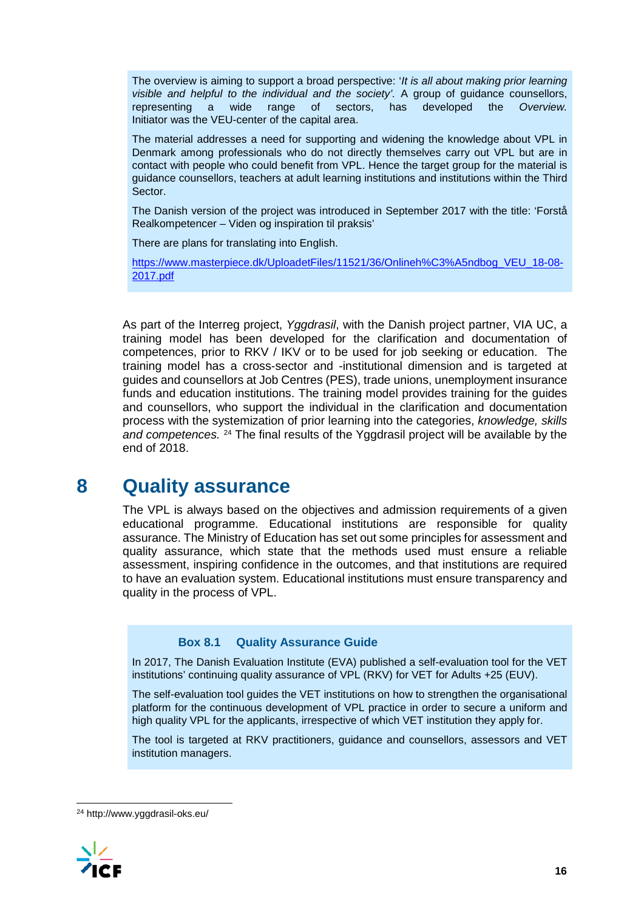The overview is aiming to support a broad perspective: '*It is all about making prior learning visible and helpful to the individual and the society'.* A group of guidance counsellors, representing a wide range of sectors, has developed the *Overview.* Initiator was the VEU-center of the capital area.

The material addresses a need for supporting and widening the knowledge about VPL in Denmark among professionals who do not directly themselves carry out VPL but are in contact with people who could benefit from VPL. Hence the target group for the material is guidance counsellors, teachers at adult learning institutions and institutions within the Third Sector.

The Danish version of the project was introduced in September 2017 with the title: 'Forstå Realkompetencer – Viden og inspiration til praksis'

There are plans for translating into English.

[https://www.masterpiece.dk/UploadetFiles/11521/36/Onlineh%C3%A5ndbog\\_VEU\\_18-08-](https://www.masterpiece.dk/UploadetFiles/11521/36/Onlineh%C3%A5ndbog_VEU_18-08-2017.pdf) [2017.pdf](https://www.masterpiece.dk/UploadetFiles/11521/36/Onlineh%C3%A5ndbog_VEU_18-08-2017.pdf)

As part of the Interreg project, *Yggdrasil*, with the Danish project partner, VIA UC, a training model has been developed for the clarification and documentation of competences, prior to RKV / IKV or to be used for job seeking or education. The training model has a cross-sector and -institutional dimension and is targeted at guides and counsellors at Job Centres (PES), trade unions, unemployment insurance funds and education institutions. The training model provides training for the guides and counsellors, who support the individual in the clarification and documentation process with the systemization of prior learning into the categories, *knowledge, skills and competences.* [24](#page-16-0) The final results of the Yggdrasil project will be available by the end of 2018.

## **8 Quality assurance**

The VPL is always based on the objectives and admission requirements of a given educational programme. Educational institutions are responsible for quality assurance. The Ministry of Education has set out some principles for assessment and quality assurance, which state that the methods used must ensure a reliable assessment, inspiring confidence in the outcomes, and that institutions are required to have an evaluation system. Educational institutions must ensure transparency and quality in the process of VPL.

#### **Box 8.1 Quality Assurance Guide**

In 2017, The Danish Evaluation Institute (EVA) published a self-evaluation tool for the VET institutions' continuing quality assurance of VPL (RKV) for VET for Adults +25 (EUV).

The self-evaluation tool guides the VET institutions on how to strengthen the organisational platform for the continuous development of VPL practice in order to secure a uniform and high quality VPL for the applicants, irrespective of which VET institution they apply for.

The tool is targeted at RKV practitioners, guidance and counsellors, assessors and VET institution managers.

<span id="page-16-0"></span> <sup>24</sup> http://www.yggdrasil-oks.eu/

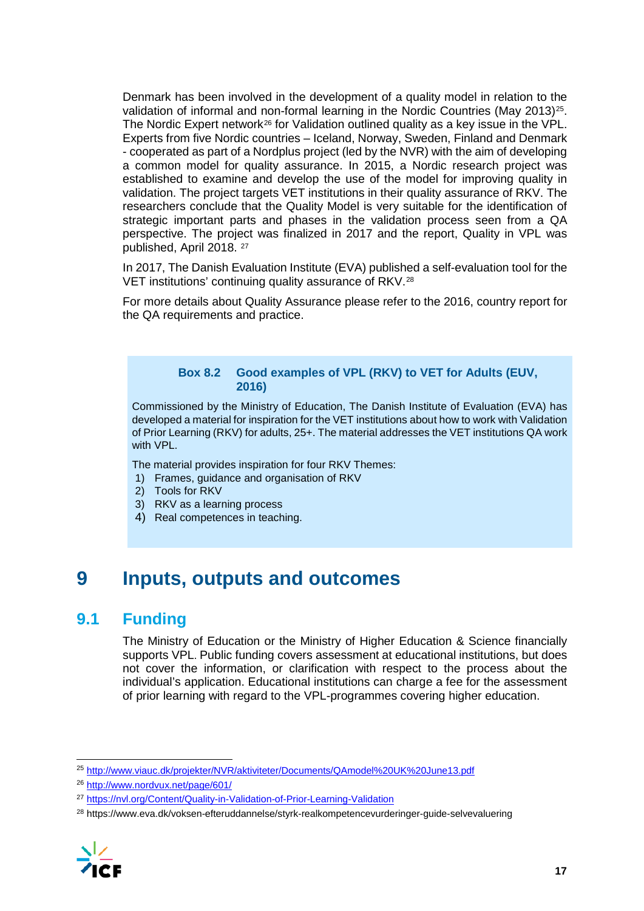Denmark has been involved in the development of a quality model in relation to the validation of informal and non-formal learning in the Nordic Countries (May 2013)[25.](#page-17-0) The Nordic Expert network<sup>[26](#page-17-1)</sup> for Validation outlined quality as a key issue in the VPL. Experts from five Nordic countries – Iceland, Norway, Sweden, Finland and Denmark - cooperated as part of a Nordplus project (led by the NVR) with the aim of developing a common model for quality assurance. In 2015, a Nordic research project was established to examine and develop the use of the model for improving quality in validation. The project targets VET institutions in their quality assurance of RKV. The researchers conclude that the Quality Model is very suitable for the identification of strategic important parts and phases in the validation process seen from a QA perspective. The project was finalized in 2017 and the report, Quality in VPL was published, April 2018. [27](#page-17-2)

In 2017, The Danish Evaluation Institute (EVA) published a self-evaluation tool for the VET institutions' continuing quality assurance of RKV.[28](#page-17-3)

For more details about Quality Assurance please refer to the 2016, country report for the QA requirements and practice.

#### **Box 8.2 Good examples of VPL (RKV) to VET for Adults (EUV, 2016)**

Commissioned by the Ministry of Education, The Danish Institute of Evaluation (EVA) has developed a material for inspiration for the VET institutions about how to work with Validation of Prior Learning (RKV) for adults, 25+. The material addresses the VET institutions QA work with VPL.

The material provides inspiration for four RKV Themes:

- 1) Frames, guidance and organisation of RKV
- 2) Tools for RKV
- 3) RKV as a learning process
- 4) Real competences in teaching.

## **9 Inputs, outputs and outcomes**

### **9.1 Funding**

The Ministry of Education or the Ministry of Higher Education & Science financially supports VPL. Public funding covers assessment at educational institutions, but does not cover the information, or clarification with respect to the process about the individual's application. Educational institutions can charge a fee for the assessment of prior learning with regard to the VPL-programmes covering higher education.

<span id="page-17-3"></span><span id="page-17-2"></span><sup>28</sup> https://www.eva.dk/voksen-efteruddannelse/styrk-realkompetencevurderinger-guide-selvevaluering



<span id="page-17-0"></span> <sup>25</sup> <http://www.viauc.dk/projekter/NVR/aktiviteter/Documents/QAmodel%20UK%20June13.pdf>

<span id="page-17-1"></span><sup>26</sup> <http://www.nordvux.net/page/601/>

<sup>27</sup> <https://nvl.org/Content/Quality-in-Validation-of-Prior-Learning-Validation>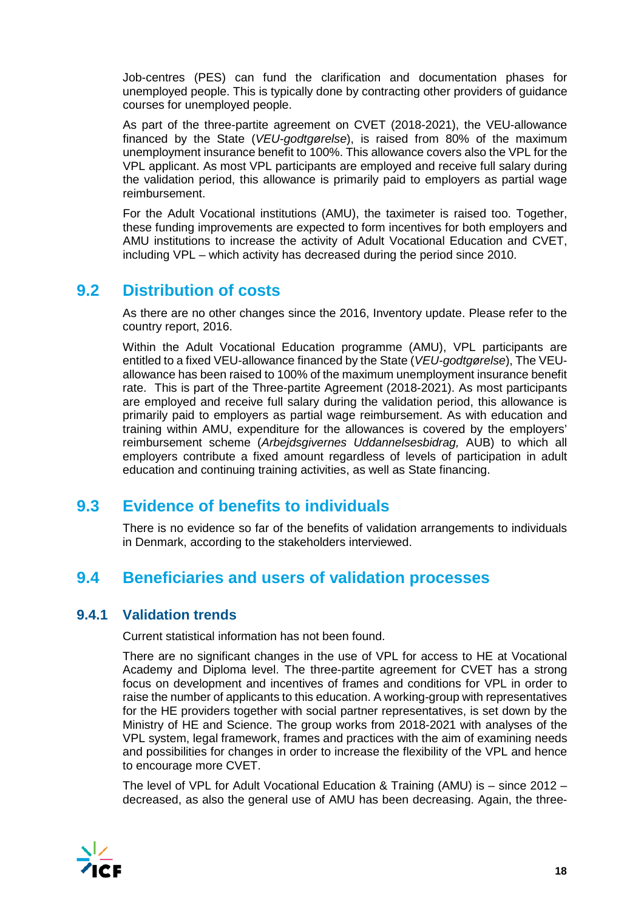Job-centres (PES) can fund the clarification and documentation phases for unemployed people. This is typically done by contracting other providers of guidance courses for unemployed people.

As part of the three-partite agreement on CVET (2018-2021), the VEU-allowance financed by the State (*VEU-godtgørelse*), is raised from 80% of the maximum unemployment insurance benefit to 100%. This allowance covers also the VPL for the VPL applicant. As most VPL participants are employed and receive full salary during the validation period, this allowance is primarily paid to employers as partial wage reimbursement.

For the Adult Vocational institutions (AMU), the taximeter is raised too. Together, these funding improvements are expected to form incentives for both employers and AMU institutions to increase the activity of Adult Vocational Education and CVET, including VPL – which activity has decreased during the period since 2010.

## **9.2 Distribution of costs**

As there are no other changes since the 2016, Inventory update. Please refer to the country report, 2016.

Within the Adult Vocational Education programme (AMU), VPL participants are entitled to a fixed VEU-allowance financed by the State (*VEU-godtgørelse*), The VEUallowance has been raised to 100% of the maximum unemployment insurance benefit rate. This is part of the Three-partite Agreement (2018-2021). As most participants are employed and receive full salary during the validation period, this allowance is primarily paid to employers as partial wage reimbursement. As with education and training within AMU, expenditure for the allowances is covered by the employers' reimbursement scheme (*Arbejdsgivernes Uddannelsesbidrag,* AUB) to which all employers contribute a fixed amount regardless of levels of participation in adult education and continuing training activities, as well as State financing.

## **9.3 Evidence of benefits to individuals**

There is no evidence so far of the benefits of validation arrangements to individuals in Denmark, according to the stakeholders interviewed.

## **9.4 Beneficiaries and users of validation processes**

### **9.4.1 Validation trends**

Current statistical information has not been found.

There are no significant changes in the use of VPL for access to HE at Vocational Academy and Diploma level. The three-partite agreement for CVET has a strong focus on development and incentives of frames and conditions for VPL in order to raise the number of applicants to this education. A working-group with representatives for the HE providers together with social partner representatives, is set down by the Ministry of HE and Science. The group works from 2018-2021 with analyses of the VPL system, legal framework, frames and practices with the aim of examining needs and possibilities for changes in order to increase the flexibility of the VPL and hence to encourage more CVET.

The level of VPL for Adult Vocational Education & Training (AMU) is – since 2012 – decreased, as also the general use of AMU has been decreasing. Again, the three-

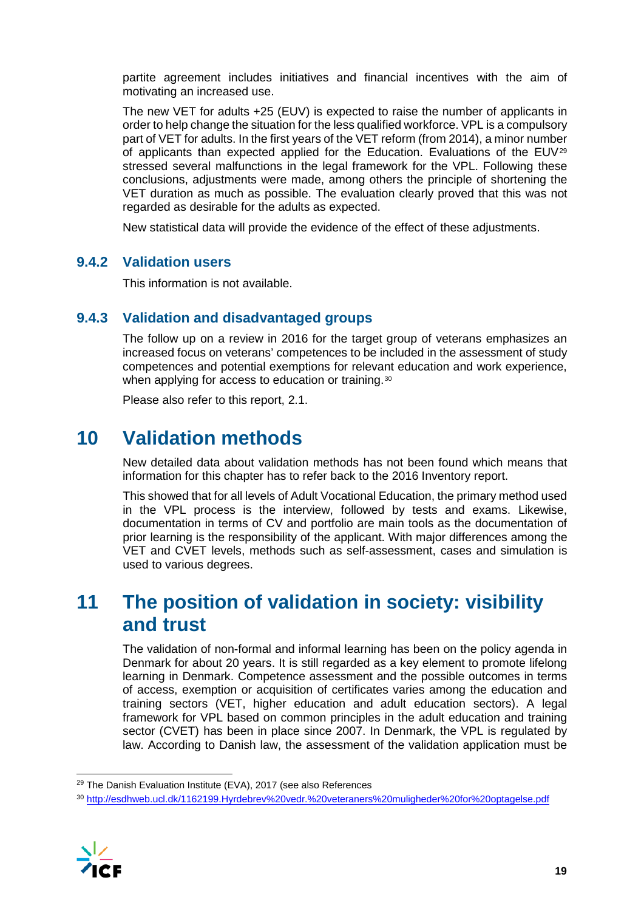partite agreement includes initiatives and financial incentives with the aim of motivating an increased use.

The new VET for adults +25 (EUV) is expected to raise the number of applicants in order to help change the situation for the less qualified workforce. VPL is a compulsory part of VET for adults. In the first years of the VET reform (from 2014), a minor number of applicants than expected applied for the Education. Evaluations of the EUV[29](#page-19-0) stressed several malfunctions in the legal framework for the VPL. Following these conclusions, adjustments were made, among others the principle of shortening the VET duration as much as possible. The evaluation clearly proved that this was not regarded as desirable for the adults as expected.

New statistical data will provide the evidence of the effect of these adjustments.

### **9.4.2 Validation users**

This information is not available.

### **9.4.3 Validation and disadvantaged groups**

The follow up on a review in 2016 for the target group of veterans emphasizes an increased focus on veterans' competences to be included in the assessment of study competences and potential exemptions for relevant education and work experience, when applying for access to education or training.<sup>[30](#page-19-1)</sup>

Please also refer to this report, 2.1.

## **10 Validation methods**

New detailed data about validation methods has not been found which means that information for this chapter has to refer back to the 2016 Inventory report.

This showed that for all levels of Adult Vocational Education, the primary method used in the VPL process is the interview, followed by tests and exams. Likewise, documentation in terms of CV and portfolio are main tools as the documentation of prior learning is the responsibility of the applicant. With major differences among the VET and CVET levels, methods such as self-assessment, cases and simulation is used to various degrees.

## **11 The position of validation in society: visibility and trust**

The validation of non-formal and informal learning has been on the policy agenda in Denmark for about 20 years. It is still regarded as a key element to promote lifelong learning in Denmark. Competence assessment and the possible outcomes in terms of access, exemption or acquisition of certificates varies among the education and training sectors (VET, higher education and adult education sectors). A legal framework for VPL based on common principles in the adult education and training sector (CVET) has been in place since 2007. In Denmark, the VPL is regulated by law. According to Danish law, the assessment of the validation application must be

<span id="page-19-1"></span><span id="page-19-0"></span><sup>30</sup> <http://esdhweb.ucl.dk/1162199.Hyrdebrev%20vedr.%20veteraners%20muligheder%20for%20optagelse.pdf>



<sup>&</sup>lt;sup>29</sup> The Danish Evaluation Institute (EVA), 2017 (see also References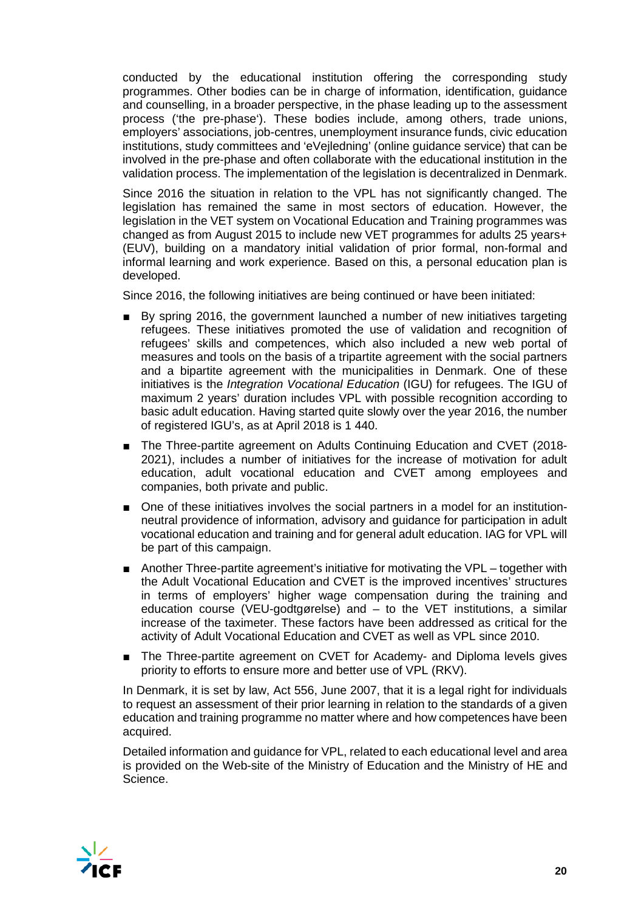conducted by the educational institution offering the corresponding study programmes. Other bodies can be in charge of information, identification, guidance and counselling, in a broader perspective, in the phase leading up to the assessment process ('the pre-phase'). These bodies include, among others, trade unions, employers' associations, job-centres, unemployment insurance funds, civic education institutions, study committees and 'eVejledning' (online guidance service) that can be involved in the pre-phase and often collaborate with the educational institution in the validation process. The implementation of the legislation is decentralized in Denmark.

Since 2016 the situation in relation to the VPL has not significantly changed. The legislation has remained the same in most sectors of education. However, the legislation in the VET system on Vocational Education and Training programmes was changed as from August 2015 to include new VET programmes for adults 25 years+ (EUV), building on a mandatory initial validation of prior formal, non-formal and informal learning and work experience. Based on this, a personal education plan is developed.

Since 2016, the following initiatives are being continued or have been initiated:

- By spring 2016, the government launched a number of new initiatives targeting refugees. These initiatives promoted the use of validation and recognition of refugees' skills and competences, which also included a new web portal of measures and tools on the basis of a tripartite agreement with the social partners and a bipartite agreement with the municipalities in Denmark. One of these initiatives is the *Integration Vocational Education* (IGU) for refugees. The IGU of maximum 2 years' duration includes VPL with possible recognition according to basic adult education. Having started quite slowly over the year 2016, the number of registered IGU's, as at April 2018 is 1 440.
- The Three-partite agreement on Adults Continuing Education and CVET (2018-2021), includes a number of initiatives for the increase of motivation for adult education, adult vocational education and CVET among employees and companies, both private and public.
- One of these initiatives involves the social partners in a model for an institutionneutral providence of information, advisory and guidance for participation in adult vocational education and training and for general adult education. IAG for VPL will be part of this campaign.
- Another Three-partite agreement's initiative for motivating the VPL together with the Adult Vocational Education and CVET is the improved incentives' structures in terms of employers' higher wage compensation during the training and education course (VEU-godtgørelse) and – to the VET institutions, a similar increase of the taximeter. These factors have been addressed as critical for the activity of Adult Vocational Education and CVET as well as VPL since 2010.
- The Three-partite agreement on CVET for Academy- and Diploma levels gives priority to efforts to ensure more and better use of VPL (RKV).

In Denmark, it is set by law, Act 556, June 2007, that it is a legal right for individuals to request an assessment of their prior learning in relation to the standards of a given education and training programme no matter where and how competences have been acquired.

Detailed information and guidance for VPL, related to each educational level and area is provided on the Web-site of the Ministry of Education and the Ministry of HE and Science.

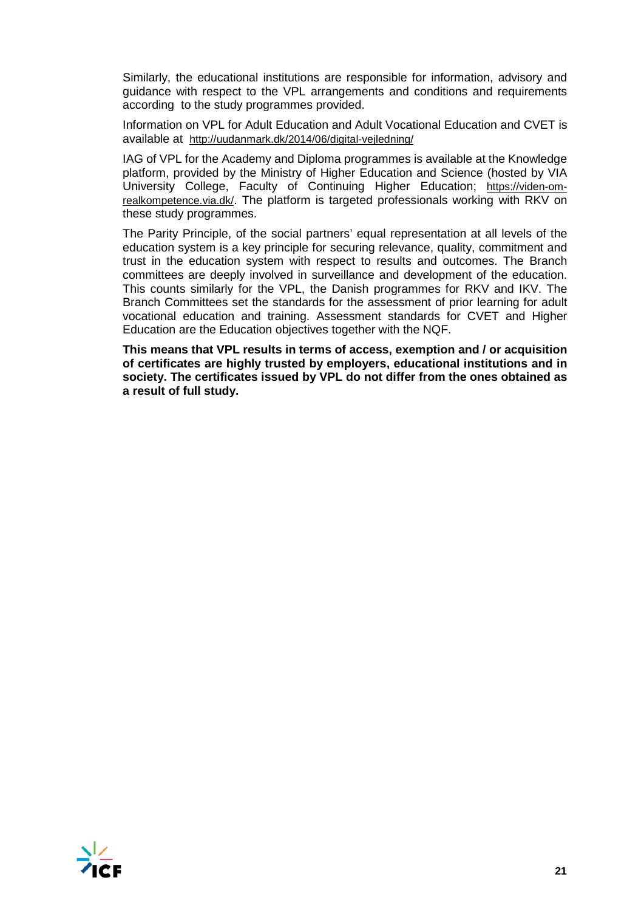Similarly, the educational institutions are responsible for information, advisory and guidance with respect to the VPL arrangements and conditions and requirements according to the study programmes provided.

Information on VPL for Adult Education and Adult Vocational Education and CVET is available at <http://uudanmark.dk/2014/06/digital-vejledning/>

IAG of VPL for the Academy and Diploma programmes is available at the Knowledge platform, provided by the Ministry of Higher Education and Science (hosted by VIA University College, Faculty of Continuing Higher Education; [https://viden-om](https://viden-om-realkompetence.via.dk/)[realkompetence.via.dk/.](https://viden-om-realkompetence.via.dk/) The platform is targeted professionals working with RKV on these study programmes.

The Parity Principle, of the social partners' equal representation at all levels of the education system is a key principle for securing relevance, quality, commitment and trust in the education system with respect to results and outcomes. The Branch committees are deeply involved in surveillance and development of the education. This counts similarly for the VPL, the Danish programmes for RKV and IKV. The Branch Committees set the standards for the assessment of prior learning for adult vocational education and training. Assessment standards for CVET and Higher Education are the Education objectives together with the NQF.

**This means that VPL results in terms of access, exemption and / or acquisition of certificates are highly trusted by employers, educational institutions and in society. The certificates issued by VPL do not differ from the ones obtained as a result of full study.**

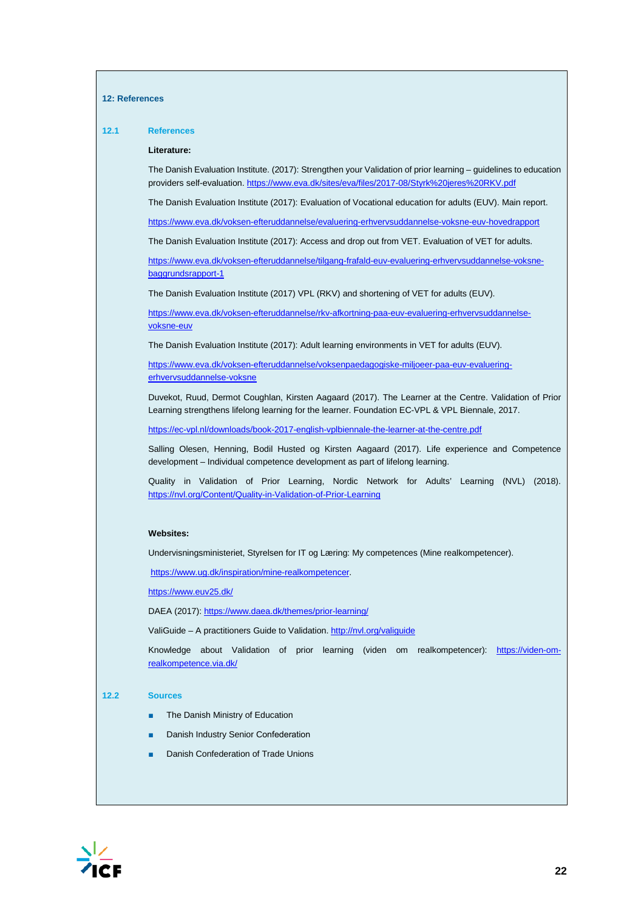#### **12: References**

### **12.1 References Literature:**  The Danish Evaluation Institute. (2017): Strengthen your Validation of prior learning – guidelines to education providers self-evaluation[. https://www.eva.dk/sites/eva/files/2017-08/Styrk%20jeres%20RKV.pdf](https://www.eva.dk/sites/eva/files/2017-08/Styrk%20jeres%20RKV.pdf) The Danish Evaluation Institute (2017): Evaluation of Vocational education for adults (EUV). Main report. <https://www.eva.dk/voksen-efteruddannelse/evaluering-erhvervsuddannelse-voksne-euv-hovedrapport> The Danish Evaluation Institute (2017): Access and drop out from VET. Evaluation of VET for adults. [https://www.eva.dk/voksen-efteruddannelse/tilgang-frafald-euv-evaluering-erhvervsuddannelse-voksne](https://www.eva.dk/voksen-efteruddannelse/tilgang-frafald-euv-evaluering-erhvervsuddannelse-voksne-baggrundsrapport-1)[baggrundsrapport-1](https://www.eva.dk/voksen-efteruddannelse/tilgang-frafald-euv-evaluering-erhvervsuddannelse-voksne-baggrundsrapport-1) The Danish Evaluation Institute (2017) VPL (RKV) and shortening of VET for adults (EUV). [https://www.eva.dk/voksen-efteruddannelse/rkv-afkortning-paa-euv-evaluering-erhvervsuddannelse](https://www.eva.dk/voksen-efteruddannelse/rkv-afkortning-paa-euv-evaluering-erhvervsuddannelse-voksne-euv)[voksne-euv](https://www.eva.dk/voksen-efteruddannelse/rkv-afkortning-paa-euv-evaluering-erhvervsuddannelse-voksne-euv)

The Danish Evaluation Institute (2017): Adult learning environments in VET for adults (EUV).

[https://www.eva.dk/voksen-efteruddannelse/voksenpaedagogiske-miljoeer-paa-euv-evaluering](https://www.eva.dk/voksen-efteruddannelse/voksenpaedagogiske-miljoeer-paa-euv-evaluering-erhvervsuddannelse-voksne)[erhvervsuddannelse-voksne](https://www.eva.dk/voksen-efteruddannelse/voksenpaedagogiske-miljoeer-paa-euv-evaluering-erhvervsuddannelse-voksne)

Duvekot, Ruud, Dermot Coughlan, Kirsten Aagaard (2017). The Learner at the Centre. Validation of Prior Learning strengthens lifelong learning for the learner. Foundation EC-VPL & VPL Biennale, 2017.

<https://ec-vpl.nl/downloads/book-2017-english-vplbiennale-the-learner-at-the-centre.pdf>

Salling Olesen, Henning, Bodil Husted og Kirsten Aagaard (2017). Life experience and Competence development – Individual competence development as part of lifelong learning.

Quality in Validation of Prior Learning, Nordic Network for Adults' Learning (NVL) (2018). <https://nvl.org/Content/Quality-in-Validation-of-Prior-Learning>

#### **Websites:**

Undervisningsministeriet, Styrelsen for IT og Læring: My competences (Mine realkompetencer).

[https://www.ug.dk/inspiration/mine-realkompetencer.](https://www.ug.dk/inspiration/mine-realkompetencer)

<https://www.euv25.dk/>

DAEA (2017)[: https://www.daea.dk/themes/prior-learning/](https://www.daea.dk/themes/prior-learning/)

ValiGuide – A practitioners Guide to Validation[. http://nvl.org/valiguide](http://nvl.org/valiguide)

Knowledge about Validation of prior learning (viden om realkompetencer): [https://viden-om](https://viden-om-realkompetence.via.dk/)[realkompetence.via.dk/](https://viden-om-realkompetence.via.dk/)

#### **12.2 Sources**

- The Danish Ministry of Education
- Danish Industry Senior Confederation
- Danish Confederation of Trade Unions